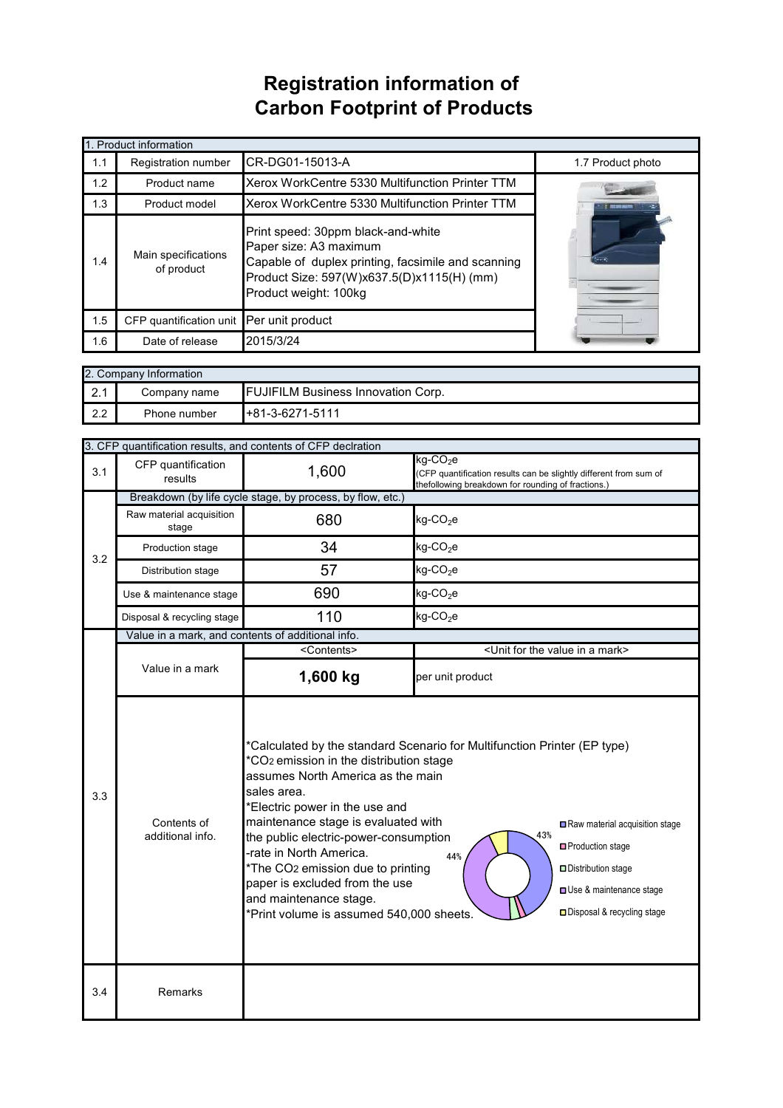## **Registration information of Carbon Footprint of Products**

| 1. Product information |                                   |                                                                                                                                                                                           |                   |  |  |
|------------------------|-----------------------------------|-------------------------------------------------------------------------------------------------------------------------------------------------------------------------------------------|-------------------|--|--|
| 1.1                    | <b>Registration number</b>        | CR-DG01-15013-A                                                                                                                                                                           | 1.7 Product photo |  |  |
| 1.2                    | Product name                      | Xerox WorkCentre 5330 Multifunction Printer TTM                                                                                                                                           |                   |  |  |
| 1.3                    | Product model                     | Xerox WorkCentre 5330 Multifunction Printer TTM                                                                                                                                           |                   |  |  |
| 1.4                    | Main specifications<br>of product | Print speed: 30ppm black-and-white<br>Paper size: A3 maximum<br>Capable of duplex printing, facsimile and scanning<br>Product Size: 597(W)x637.5(D)x1115(H) (mm)<br>Product weight: 100kg |                   |  |  |
| 1.5                    | CFP quantification unit           | Per unit product                                                                                                                                                                          |                   |  |  |
| 1.6                    | Date of release                   | 2015/3/24                                                                                                                                                                                 |                   |  |  |

| 2. Company Information |                                                           |                    |  |  |
|------------------------|-----------------------------------------------------------|--------------------|--|--|
| ົດ 1<br>$\sim$         | <b>FUJIFILM Business Innovation Corp.</b><br>Company name |                    |  |  |
| 2.2                    | Phone number                                              | $1+81-3-6271-5111$ |  |  |

|     | 3. CFP quantification results, and contents of CFP declration |                                                                                                                                                                                                                                                                                                                                                                                                                                                                                                                                                                                                                                      |                                                                                                                                                    |  |  |
|-----|---------------------------------------------------------------|--------------------------------------------------------------------------------------------------------------------------------------------------------------------------------------------------------------------------------------------------------------------------------------------------------------------------------------------------------------------------------------------------------------------------------------------------------------------------------------------------------------------------------------------------------------------------------------------------------------------------------------|----------------------------------------------------------------------------------------------------------------------------------------------------|--|--|
| 3.1 | CFP quantification<br>results                                 | 1,600                                                                                                                                                                                                                                                                                                                                                                                                                                                                                                                                                                                                                                | $kg$ -CO <sub>2</sub> e<br>(CFP quantification results can be slightly different from sum of<br>thefollowing breakdown for rounding of fractions.) |  |  |
| 3.2 |                                                               | Breakdown (by life cycle stage, by process, by flow, etc.)                                                                                                                                                                                                                                                                                                                                                                                                                                                                                                                                                                           |                                                                                                                                                    |  |  |
|     | Raw material acquisition<br>stage                             | 680                                                                                                                                                                                                                                                                                                                                                                                                                                                                                                                                                                                                                                  | $kg$ -CO <sub>2</sub> e                                                                                                                            |  |  |
|     | Production stage                                              | 34                                                                                                                                                                                                                                                                                                                                                                                                                                                                                                                                                                                                                                   | $kg$ -CO <sub>2</sub> e                                                                                                                            |  |  |
|     | Distribution stage                                            | 57                                                                                                                                                                                                                                                                                                                                                                                                                                                                                                                                                                                                                                   | $kg$ -CO <sub>2</sub> e                                                                                                                            |  |  |
|     | Use & maintenance stage                                       | 690                                                                                                                                                                                                                                                                                                                                                                                                                                                                                                                                                                                                                                  | $kg$ -CO <sub>2</sub> e                                                                                                                            |  |  |
|     | Disposal & recycling stage                                    | 110                                                                                                                                                                                                                                                                                                                                                                                                                                                                                                                                                                                                                                  | $kg$ -CO <sub>2</sub> e                                                                                                                            |  |  |
|     | Value in a mark, and contents of additional info.             |                                                                                                                                                                                                                                                                                                                                                                                                                                                                                                                                                                                                                                      |                                                                                                                                                    |  |  |
|     |                                                               | <contents></contents>                                                                                                                                                                                                                                                                                                                                                                                                                                                                                                                                                                                                                | <unit a="" for="" in="" mark="" the="" value=""></unit>                                                                                            |  |  |
|     | Value in a mark                                               | 1,600 kg                                                                                                                                                                                                                                                                                                                                                                                                                                                                                                                                                                                                                             | per unit product                                                                                                                                   |  |  |
| 3.3 | Contents of<br>additional info.                               | *Calculated by the standard Scenario for Multifunction Printer (EP type)<br>*CO <sub>2</sub> emission in the distribution stage<br>assumes North America as the main<br>sales area.<br>*Electric power in the use and<br>maintenance stage is evaluated with<br>Raw material acquisition stage<br>43%<br>the public electric-power-consumption<br>□ Production stage<br>-rate in North America.<br>44%<br>*The CO2 emission due to printing<br>Distribution stage<br>paper is excluded from the use<br>Use & maintenance stage<br>and maintenance stage.<br>□ Disposal & recycling stage<br>*Print volume is assumed 540,000 sheets. |                                                                                                                                                    |  |  |
| 3.4 | Remarks                                                       |                                                                                                                                                                                                                                                                                                                                                                                                                                                                                                                                                                                                                                      |                                                                                                                                                    |  |  |